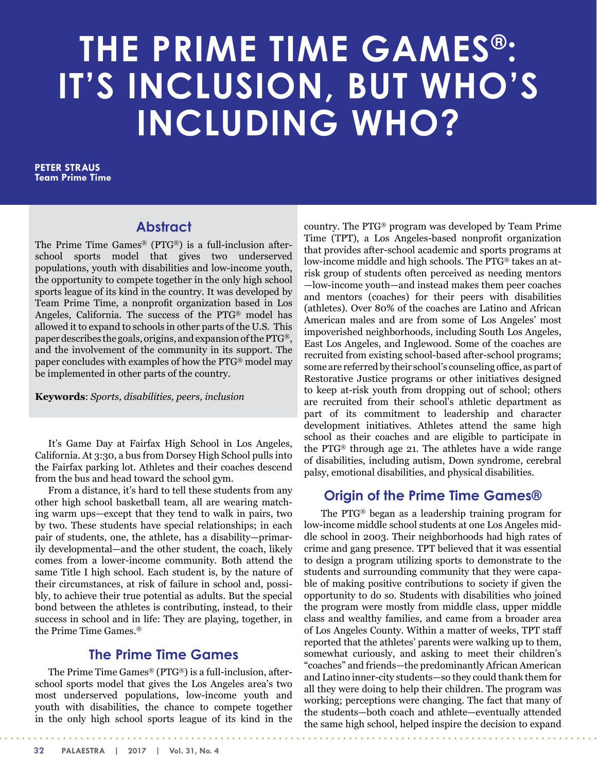# **THE PRIME TIME GAMES®: IT'S INCLUSION, BUT WHO'S INCLUDING WHO?**

**PETER STRAUS Team Prime Time**

## **Abstract**

The Prime Time Games® (PTG®) is a full-inclusion afterschool sports model that gives two underserved populations, youth with disabilities and low-income youth, the opportunity to compete together in the only high school sports league of its kind in the country. It was developed by Team Prime Time, a nonprofit organization based in Los Angeles, California. The success of the PTG® model has allowed it to expand to schools in other parts of the U.S. This paper describes the goals, origins, and expansion of thePTG®, and the involvement of the community in its support. The paper concludes with examples of how the PTG® model may be implemented in other parts of the country.

**Keywords**: *Sports, disabilities, peers, inclusion*

It's Game Day at Fairfax High School in Los Angeles, California. At 3:30, a bus from Dorsey High School pulls into the Fairfax parking lot. Athletes and their coaches descend from the bus and head toward the school gym.

From a distance, it's hard to tell these students from any other high school basketball team, all are wearing matching warm ups—except that they tend to walk in pairs, two by two. These students have special relationships; in each pair of students, one, the athlete, has a disability—primarily developmental—and the other student, the coach, likely comes from a lower-income community. Both attend the same Title I high school. Each student is, by the nature of their circumstances, at risk of failure in school and, possibly, to achieve their true potential as adults. But the special bond between the athletes is contributing, instead, to their success in school and in life: They are playing, together, in the Prime Time Games.®

# **The Prime Time Games**

The Prime Time Games® (PTG®) is a full-inclusion, afterschool sports model that gives the Los Angeles area's two most underserved populations, low-income youth and youth with disabilities, the chance to compete together in the only high school sports league of its kind in the

country. The PTG® program was developed by Team Prime Time (TPT), a Los Angeles-based nonprofit organization that provides after-school academic and sports programs at low-income middle and high schools. The PTG® takes an atrisk group of students often perceived as needing mentors —low-income youth—and instead makes them peer coaches and mentors (coaches) for their peers with disabilities (athletes). Over 80% of the coaches are Latino and African American males and are from some of Los Angeles' most impoverished neighborhoods, including South Los Angeles, East Los Angeles, and Inglewood. Some of the coaches are recruited from existing school-based after-school programs; some are referred by their school's counseling office, as part of Restorative Justice programs or other initiatives designed to keep at-risk youth from dropping out of school; others are recruited from their school's athletic department as part of its commitment to leadership and character development initiatives. Athletes attend the same high school as their coaches and are eligible to participate in the PTG® through age 21. The athletes have a wide range of disabilities, including autism, Down syndrome, cerebral palsy, emotional disabilities, and physical disabilities.

# **Origin of the Prime Time Games®**

 The PTG® began as a leadership training program for low-income middle school students at one Los Angeles middle school in 2003. Their neighborhoods had high rates of crime and gang presence. TPT believed that it was essential to design a program utilizing sports to demonstrate to the students and surrounding community that they were capable of making positive contributions to society if given the opportunity to do so. Students with disabilities who joined the program were mostly from middle class, upper middle class and wealthy families, and came from a broader area of Los Angeles County. Within a matter of weeks, TPT staff reported that the athletes' parents were walking up to them, somewhat curiously, and asking to meet their children's "coaches" and friends—the predominantly African American and Latino inner-city students—so they could thank them for all they were doing to help their children. The program was working; perceptions were changing. The fact that many of the students—both coach and athlete—eventually attended the same high school, helped inspire the decision to expand

**32 PALAESTRA | 2017 | Vol. 31, No. 4**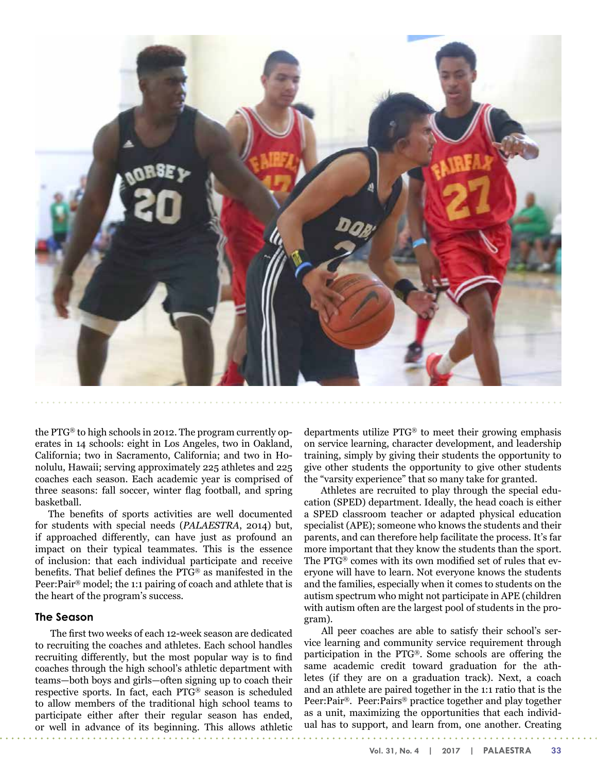

the PTG® to high schools in 2012. The program currently operates in 14 schools: eight in Los Angeles, two in Oakland, California; two in Sacramento, California; and two in Honolulu, Hawaii; serving approximately 225 athletes and 225 coaches each season. Each academic year is comprised of three seasons: fall soccer, winter flag football, and spring basketball.

The benefits of sports activities are well documented for students with special needs (*PALAESTRA*, 2014) but, if approached differently, can have just as profound an impact on their typical teammates. This is the essence of inclusion: that each individual participate and receive benefits. That belief defines the PTG® as manifested in the Peer:Pair® model; the 1:1 pairing of coach and athlete that is the heart of the program's success.

#### **The Season**

 The first two weeks of each 12-week season are dedicated to recruiting the coaches and athletes. Each school handles recruiting differently, but the most popular way is to find coaches through the high school's athletic department with teams—both boys and girls—often signing up to coach their respective sports. In fact, each PTG® season is scheduled to allow members of the traditional high school teams to participate either after their regular season has ended, or well in advance of its beginning. This allows athletic

departments utilize PTG® to meet their growing emphasis on service learning, character development, and leadership training, simply by giving their students the opportunity to give other students the opportunity to give other students the "varsity experience" that so many take for granted.

 Athletes are recruited to play through the special education (SPED) department. Ideally, the head coach is either a SPED classroom teacher or adapted physical education specialist (APE); someone who knows the students and their parents, and can therefore help facilitate the process. It's far more important that they know the students than the sport. The PTG® comes with its own modified set of rules that everyone will have to learn. Not everyone knows the students and the families, especially when it comes to students on the autism spectrum who might not participate in APE (children with autism often are the largest pool of students in the program).

 All peer coaches are able to satisfy their school's service learning and community service requirement through participation in the PTG®. Some schools are offering the same academic credit toward graduation for the athletes (if they are on a graduation track). Next, a coach and an athlete are paired together in the 1:1 ratio that is the Peer:Pair®. Peer:Pairs® practice together and play together as a unit, maximizing the opportunities that each individual has to support, and learn from, one another. Creating

**Vol. 31, No. 4 | 2017 | PALAESTRA 33**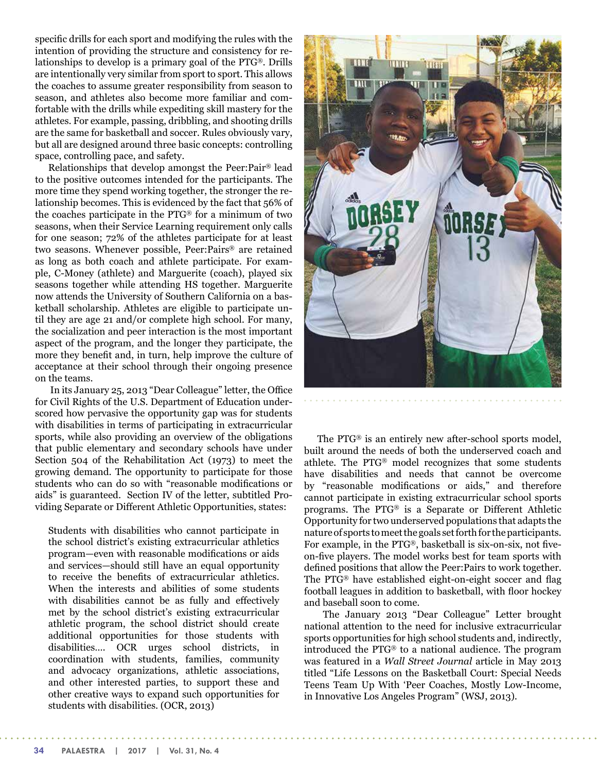specific drills for each sport and modifying the rules with the intention of providing the structure and consistency for relationships to develop is a primary goal of the PTG®. Drills are intentionally very similar from sport to sport. This allows the coaches to assume greater responsibility from season to season, and athletes also become more familiar and comfortable with the drills while expediting skill mastery for the athletes. For example, passing, dribbling, and shooting drills are the same for basketball and soccer. Rules obviously vary, but all are designed around three basic concepts: controlling space, controlling pace, and safety.

Relationships that develop amongst the Peer:Pair® lead to the positive outcomes intended for the participants. The more time they spend working together, the stronger the relationship becomes. This is evidenced by the fact that 56% of the coaches participate in the PTG® for a minimum of two seasons, when their Service Learning requirement only calls for one season; 72% of the athletes participate for at least two seasons. Whenever possible, Peer:Pairs® are retained as long as both coach and athlete participate. For example, C-Money (athlete) and Marguerite (coach), played six seasons together while attending HS together. Marguerite now attends the University of Southern California on a basketball scholarship. Athletes are eligible to participate until they are age 21 and/or complete high school. For many, the socialization and peer interaction is the most important aspect of the program, and the longer they participate, the more they benefit and, in turn, help improve the culture of acceptance at their school through their ongoing presence on the teams.

 In its January 25, 2013 "Dear Colleague" letter, the Office for Civil Rights of the U.S. Department of Education underscored how pervasive the opportunity gap was for students with disabilities in terms of participating in extracurricular sports, while also providing an overview of the obligations that public elementary and secondary schools have under Section 504 of the Rehabilitation Act (1973) to meet the growing demand. The opportunity to participate for those students who can do so with "reasonable modifications or aids" is guaranteed. Section IV of the letter, subtitled Providing Separate or Different Athletic Opportunities, states:

Students with disabilities who cannot participate in the school district's existing extracurricular athletics program—even with reasonable modifications or aids and services—should still have an equal opportunity to receive the benefits of extracurricular athletics. When the interests and abilities of some students with disabilities cannot be as fully and effectively met by the school district's existing extracurricular athletic program, the school district should create additional opportunities for those students with disabilities…. OCR urges school districts, in coordination with students, families, community and advocacy organizations, athletic associations, and other interested parties, to support these and other creative ways to expand such opportunities for students with disabilities. (OCR, 2013)



The PTG® is an entirely new after-school sports model, built around the needs of both the underserved coach and athlete. The PTG® model recognizes that some students have disabilities and needs that cannot be overcome by "reasonable modifications or aids," and therefore cannot participate in existing extracurricular school sports programs. The PTG® is a Separate or Different Athletic Opportunity for two underserved populations that adapts the nature of sports to meet the goals set forth for the participants. For example, in the PTG®, basketball is six-on-six, not fiveon-five players. The model works best for team sports with defined positions that allow the Peer:Pairs to work together. The PTG® have established eight-on-eight soccer and flag football leagues in addition to basketball, with floor hockey and baseball soon to come.

 The January 2013 "Dear Colleague" Letter brought national attention to the need for inclusive extracurricular sports opportunities for high school students and, indirectly, introduced the PTG® to a national audience. The program was featured in a *Wall Street Journal* article in May 2013 titled "Life Lessons on the Basketball Court: Special Needs Teens Team Up With 'Peer Coaches, Mostly Low-Income, in Innovative Los Angeles Program" (WSJ, 2013).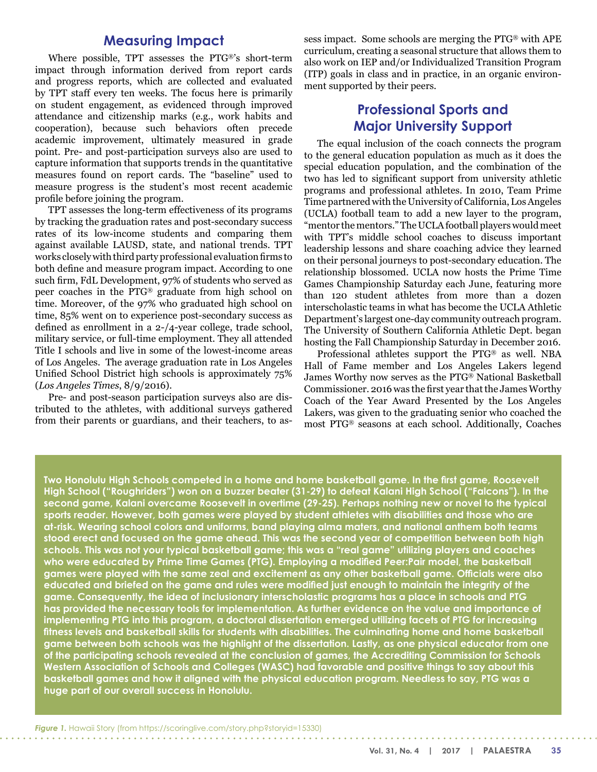## **Measuring Impact**

Where possible, TPT assesses the PTG®'s short-term impact through information derived from report cards and progress reports, which are collected and evaluated by TPT staff every ten weeks. The focus here is primarily on student engagement, as evidenced through improved attendance and citizenship marks (e.g., work habits and cooperation), because such behaviors often precede academic improvement, ultimately measured in grade point. Pre- and post-participation surveys also are used to capture information that supports trends in the quantitative measures found on report cards. The "baseline" used to measure progress is the student's most recent academic profile before joining the program.

TPT assesses the long-term effectiveness of its programs by tracking the graduation rates and post-secondary success rates of its low-income students and comparing them against available LAUSD, state, and national trends. TPT works closelywith third party professional evaluation firms to both define and measure program impact. According to one such firm, FdL Development, 97% of students who served as peer coaches in the PTG® graduate from high school on time. Moreover, of the 97% who graduated high school on time, 85% went on to experience post-secondary success as defined as enrollment in a 2-/4-year college, trade school, military service, or full-time employment. They all attended Title I schools and live in some of the lowest-income areas of Los Angeles. The average graduation rate in Los Angeles Unified School District high schools is approximately 75% (*Los Angeles Times*, 8/9/2016).

Pre- and post-season participation surveys also are distributed to the athletes, with additional surveys gathered from their parents or guardians, and their teachers, to assess impact. Some schools are merging the PTG® with APE curriculum, creating a seasonal structure that allows them to also work on IEP and/or Individualized Transition Program (ITP) goals in class and in practice, in an organic environment supported by their peers.

# **Professional Sports and Major University Support**

The equal inclusion of the coach connects the program to the general education population as much as it does the special education population, and the combination of the two has led to significant support from university athletic programs and professional athletes. In 2010, Team Prime Time partnered with the University of California, Los Angeles (UCLA) football team to add a new layer to the program, "mentor the mentors." The UCLA football players would meet with TPT's middle school coaches to discuss important leadership lessons and share coaching advice they learned on their personal journeys to post-secondary education. The relationship blossomed. UCLA now hosts the Prime Time Games Championship Saturday each June, featuring more than 120 student athletes from more than a dozen interscholastic teams in what has become the UCLA Athletic Department's largest one-day community outreach program. The University of Southern California Athletic Dept. began hosting the Fall Championship Saturday in December 2016.

Professional athletes support the PTG® as well. NBA Hall of Fame member and Los Angeles Lakers legend James Worthy now serves as the PTG® National Basketball Commissioner. 2016 was the first year that the James Worthy Coach of the Year Award Presented by the Los Angeles Lakers, was given to the graduating senior who coached the most PTG® seasons at each school. Additionally, Coaches

**Two Honolulu High Schools competed in a home and home basketball game. In the first game, Roosevelt High School ("Roughriders") won on a buzzer beater (31-29) to defeat Kalani High School ("Falcons"). In the second game, Kalani overcame Roosevelt in overtime (29-25). Perhaps nothing new or novel to the typical sports reader. However, both games were played by student athletes with disabilities and those who are at-risk. Wearing school colors and uniforms, band playing alma maters, and national anthem both teams stood erect and focused on the game ahead. This was the second year of competition between both high schools. This was not your typical basketball game; this was a "real game" utilizing players and coaches who were educated by Prime Time Games (PTG). Employing a modified Peer:Pair model, the basketball games were played with the same zeal and excitement as any other basketball game. Officials were also educated and briefed on the game and rules were modified just enough to maintain the integrity of the game. Consequently, the idea of inclusionary interscholastic programs has a place in schools and PTG has provided the necessary tools for implementation. As further evidence on the value and importance of implementing PTG into this program, a doctoral dissertation emerged utilizing facets of PTG for increasing fitness levels and basketball skills for students with disabilities. The culminating home and home basketball game between both schools was the highlight of the dissertation. Lastly, as one physical educator from one of the participating schools revealed at the conclusion of games, the Accrediting Commission for Schools Western Association of Schools and Colleges (WASC) had favorable and positive things to say about this basketball games and how it aligned with the physical education program. Needless to say, PTG was a huge part of our overall success in Honolulu.**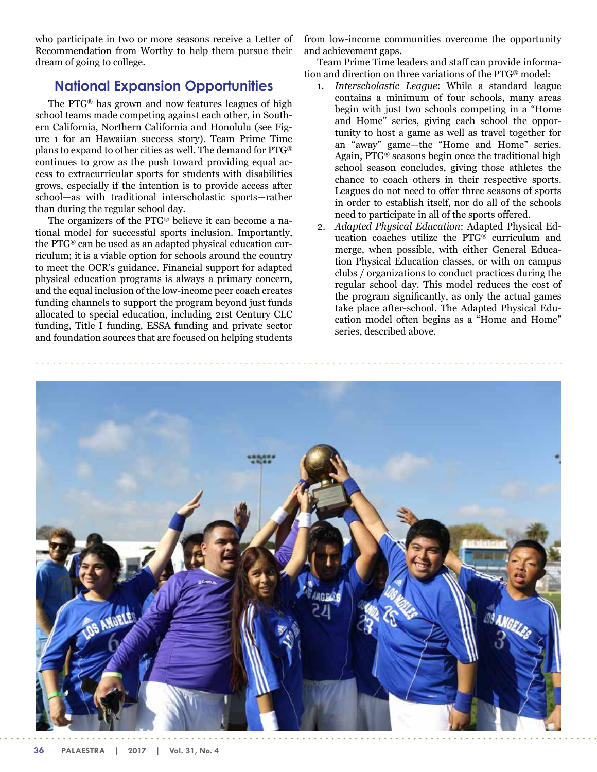who participate in two or more seasons receive a Letter of Recommendation from Worthy to help them pursue their dream of going to college.

## **National Expansion Opportunities**

The PTG® has grown and now features leagues of high school teams made competing against each other, in Southern California, Northern California and Honolulu (see Figure 1 for an Hawaiian success story). Team Prime Time plans to expand to other cities as well. The demand for PTG® continues to grow as the push toward providing equal access to extracurricular sports for students with disabilities grows, especially if the intention is to provide access after school—as with traditional interscholastic sports—rather than during the regular school day.

The organizers of the PTG® believe it can become a national model for successful sports inclusion. Importantly, the PTG® can be used as an adapted physical education curriculum; it is a viable option for schools around the country to meet the OCR's guidance. Financial support for adapted physical education programs is always a primary concern, and the equal inclusion of the low-income peer coach creates funding channels to support the program beyond just funds allocated to special education, including 21st Century CLC funding, Title I funding, ESSA funding and private sector and foundation sources that are focused on helping students

from low-income communities overcome the opportunity and achievement gaps.

Team Prime Time leaders and staff can provide information and direction on three variations of the PTG® model:

- 1. *Interscholastic League*: While a standard league contains a minimum of four schools, many areas begin with just two schools competing in a "Home and Home" series, giving each school the opportunity to host a game as well as travel together for an "away" game—the "Home and Home" series. Again, PTG® seasons begin once the traditional high school season concludes, giving those athletes the chance to coach others in their respective sports. Leagues do not need to offer three seasons of sports in order to establish itself, nor do all of the schools need to participate in all of the sports offered.
- 2. *Adapted Physical Education*: Adapted Physical Education coaches utilize the PTG® curriculum and merge, when possible, with either General Education Physical Education classes, or with on campus clubs / organizations to conduct practices during the regular school day. This model reduces the cost of the program significantly, as only the actual games take place after-school. The Adapted Physical Education model often begins as a "Home and Home" series, described above.